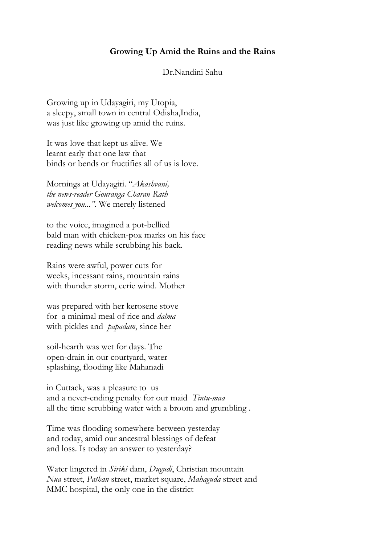## **Growing Up Amid the Ruins and the Rains**

## Dr.Nandini Sahu

Growing up in Udayagiri, my Utopia, a sleepy, small town in central Odisha,India, was just like growing up amid the ruins.

It was love that kept us alive. We learnt early that one law that binds or bends or fructifies all of us is love.

Mornings at Udayagiri. "*Akashvani, the news-reader Gouranga Charan Rath welcomes you...".* We merely listened

to the voice, imagined a pot-bellied bald man with chicken-pox marks on his face reading news while scrubbing his back.

Rains were awful, power cuts for weeks, incessant rains, mountain rains with thunder storm, eerie wind. Mother

was prepared with her kerosene stove for a minimal meal of rice and *dalma* with pickles and *papadam*, since her

soil-hearth was wet for days. The open-drain in our courtyard, water splashing, flooding like Mahanadi

in Cuttack, was a pleasure to us and a never-ending penalty for our maid *Tintu-maa* all the time scrubbing water with a broom and grumbling .

Time was flooding somewhere between yesterday and today, amid our ancestral blessings of defeat and loss. Is today an answer to yesterday?

Water lingered in *Siriki* dam, *Dugudi*, Christian mountain *Nua* street, *Pathan* street, market square, *Mahaguda* street and MMC hospital, the only one in the district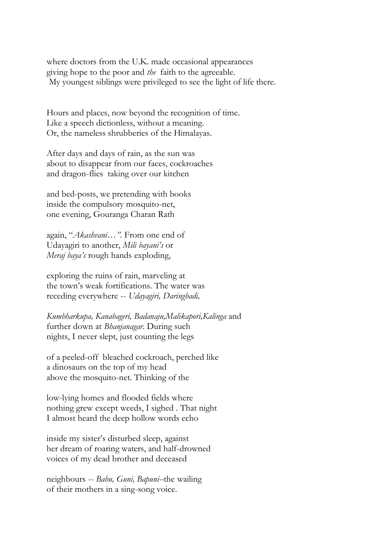where doctors from the U.K. made occasional appearances giving hope to the poor and *the* faith to the agreeable. My youngest siblings were privileged to see the light of life there.

Hours and places, now beyond the recognition of time. Like a speech dictionless, without a meaning. Or, the nameless shrubberies of the Himalayas.

After days and days of rain, as the sun was about to disappear from our faces, cockroaches and dragon-flies taking over our kitchen

and bed-posts, we pretending with books inside the compulsory mosquito-net, one evening, Gouranga Charan Rath

again, "*Akashvani…".* From one end of Udayagiri to another, *Mili bayani's* or *Meraj baya's* rough hands exploding,

exploring the ruins of rain, marveling at the town's weak fortifications. The water was receding everywhere -- *Udayagiri, Daringbadi,* 

*Kumbharkupa, Kanabageri, Badanaju,Malikapori,Kalinga* and further down at *Bhanjanagar*. During such nights, I never slept, just counting the legs

of a peeled-off bleached cockroach, perched like a dinosaurs on the top of my head above the mosquito-net. Thinking of the

low-lying homes and flooded fields where nothing grew except weeds, I sighed . That night I almost heard the deep hollow words echo

inside my sister's disturbed sleep, against her dream of roaring waters, and half-drowned voices of my dead brother and deceased

neighbours -- *Babu, Guni, Bapuni--*the wailing of their mothers in a sing-song voice.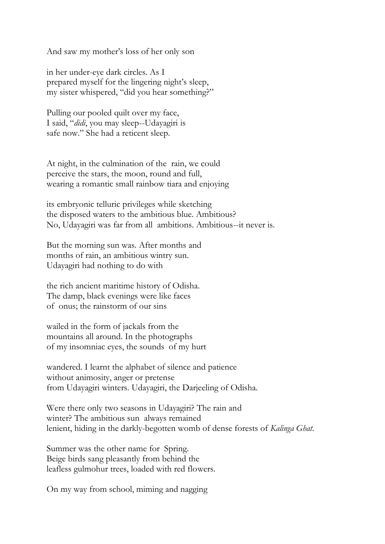And saw my mother's loss of her only son

in her under-eye dark circles. As I prepared myself for the lingering night's sleep, my sister whispered, "did you hear something?"

Pulling our pooled quilt over my face, I said, "*didi*, you may sleep--Udayagiri is safe now." She had a reticent sleep.

At night, in the culmination of the rain, we could perceive the stars, the moon, round and full, wearing a romantic small rainbow tiara and enjoying

its embryonic telluric privileges while sketching the disposed waters to the ambitious blue. Ambitious? No, Udayagiri was far from all ambitions. Ambitious--it never is.

But the morning sun was. After months and months of rain, an ambitious wintry sun. Udayagiri had nothing to do with

the rich ancient maritime history of Odisha. The damp, black evenings were like faces of onus; the rainstorm of our sins

wailed in the form of jackals from the mountains all around. In the photographs of my insomniac eyes, the sounds of my hurt

wandered. I learnt the alphabet of silence and patience without animosity, anger or pretense from Udayagiri winters. Udayagiri, the Darjeeling of Odisha.

Were there only two seasons in Udayagiri? The rain and winter? The ambitious sun always remained lenient, hiding in the darkly-begotten womb of dense forests of *Kalinga Ghat*.

Summer was the other name for Spring. Beige birds sang pleasantly from behind the leafless gulmohur trees, loaded with red flowers.

On my way from school, miming and nagging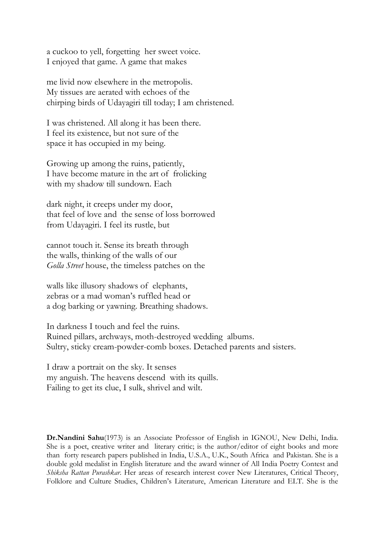a cuckoo to yell, forgetting her sweet voice. I enjoyed that game. A game that makes

me livid now elsewhere in the metropolis. My tissues are aerated with echoes of the chirping birds of Udayagiri till today; I am christened.

I was christened. All along it has been there. I feel its existence, but not sure of the space it has occupied in my being.

Growing up among the ruins, patiently, I have become mature in the art of frolicking with my shadow till sundown. Each

dark night, it creeps under my door, that feel of love and the sense of loss borrowed from Udayagiri. I feel its rustle, but

cannot touch it. Sense its breath through the walls, thinking of the walls of our *Golla Street* house, the timeless patches on the

walls like illusory shadows of elephants, zebras or a mad woman's ruffled head or a dog barking or yawning. Breathing shadows.

In darkness I touch and feel the ruins. Ruined pillars, archways, moth-destroyed wedding albums. Sultry, sticky cream-powder-comb boxes. Detached parents and sisters.

I draw a portrait on the sky. It senses my anguish. The heavens descend with its quills. Failing to get its clue, I sulk, shrivel and wilt.

**Dr.Nandini Sahu**(1973) is an Associate Professor of English in IGNOU, New Delhi, India. She is a poet, creative writer and literary critic; is the author/editor of eight books and more than forty research papers published in India, U.S.A., U.K., South Africa and Pakistan. She is a double gold medalist in English literature and the award winner of All India Poetry Contest and *Shiksha Rattan Purashkar*. Her areas of research interest cover New Literatures, Critical Theory, Folklore and Culture Studies, Children's Literature, American Literature and ELT. She is the